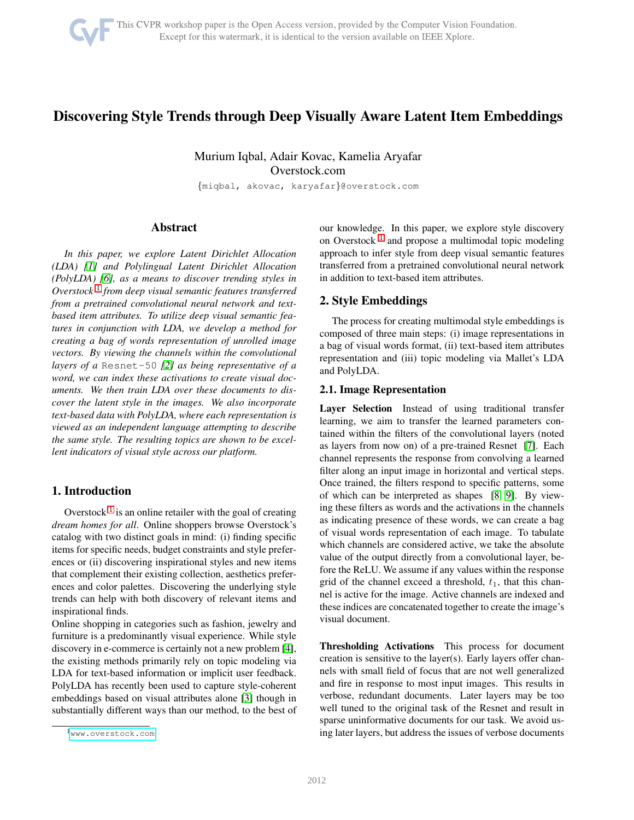# Discovering Style Trends through Deep Visually Aware Latent Item Embeddings

Murium Iqbal, Adair Kovac, Kamelia Aryafar Overstock.com

{miqbal, akovac, karyafar}@overstock.com

## Abstract

*In this paper, we explore Latent Dirichlet Allocation (LDA) [\[1\]](#page-2-0) and Polylingual Latent Dirichlet Allocation (PolyLDA) [\[6\]](#page-2-1), as a means to discover trending styles in Overstock* [1](#page-0-0) *from deep visual semantic features transferred from a pretrained convolutional neural network and textbased item attributes. To utilize deep visual semantic features in conjunction with LDA, we develop a method for creating a bag of words representation of unrolled image vectors. By viewing the channels within the convolutional layers of a* Resnet-50 *[\[2\]](#page-2-2) as being representative of a word, we can index these activations to create visual documents. We then train LDA over these documents to discover the latent style in the images. We also incorporate text-based data with PolyLDA, where each representation is viewed as an independent language attempting to describe the same style. The resulting topics are shown to be excellent indicators of visual style across our platform.*

## 1. Introduction

Overstock<sup>[1](#page-0-0)</sup> is an online retailer with the goal of creating *dream homes for all*. Online shoppers browse Overstock's catalog with two distinct goals in mind: (i) finding specific items for specific needs, budget constraints and style preferences or (ii) discovering inspirational styles and new items that complement their existing collection, aesthetics preferences and color palettes. Discovering the underlying style trends can help with both discovery of relevant items and inspirational finds.

Online shopping in categories such as fashion, jewelry and furniture is a predominantly visual experience. While style discovery in e-commerce is certainly not a new problem [\[4\]](#page-2-3), the existing methods primarily rely on topic modeling via LDA for text-based information or implicit user feedback. PolyLDA has recently been used to capture style-coherent embeddings based on visual attributes alone [\[3\]](#page-2-4) though in substantially different ways than our method, to the best of our knowledge. In this paper, we explore style discovery on Overstock<sup>[1](#page-0-0)</sup> and propose a multimodal topic modeling approach to infer style from deep visual semantic features transferred from a pretrained convolutional neural network in addition to text-based item attributes.

### 2. Style Embeddings

The process for creating multimodal style embeddings is composed of three main steps: (i) image representations in a bag of visual words format, (ii) text-based item attributes representation and (iii) topic modeling via Mallet's LDA and PolyLDA.

#### <span id="page-0-1"></span>2.1. Image Representation

Layer Selection Instead of using traditional transfer learning, we aim to transfer the learned parameters contained within the filters of the convolutional layers (noted as layers from now on) of a pre-trained Resnet [\[7\]](#page-2-5). Each channel represents the response from convolving a learned filter along an input image in horizontal and vertical steps. Once trained, the filters respond to specific patterns, some of which can be interpreted as shapes [\[8,](#page-2-6) [9\]](#page-2-7). By viewing these filters as words and the activations in the channels as indicating presence of these words, we can create a bag of visual words representation of each image. To tabulate which channels are considered active, we take the absolute value of the output directly from a convolutional layer, before the ReLU. We assume if any values within the response grid of the channel exceed a threshold,  $t_1$ , that this channel is active for the image. Active channels are indexed and these indices are concatenated together to create the image's visual document.

Thresholding Activations This process for document creation is sensitive to the layer(s). Early layers offer channels with small field of focus that are not well generalized and fire in response to most input images. This results in verbose, redundant documents. Later layers may be too well tuned to the original task of the Resnet and result in sparse uninformative documents for our task. We avoid using later layers, but address the issues of verbose documents

<span id="page-0-0"></span><sup>1</sup><www.overstock.com>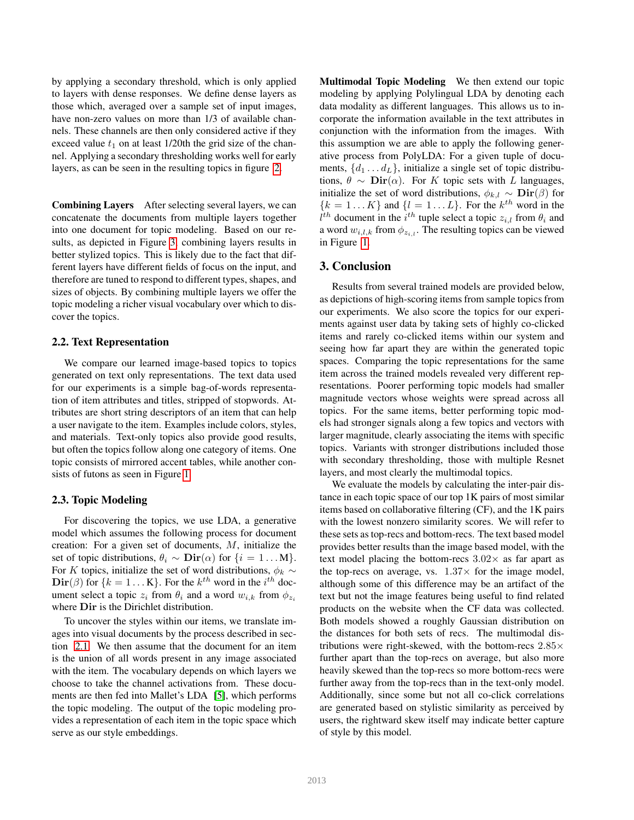by applying a secondary threshold, which is only applied to layers with dense responses. We define dense layers as those which, averaged over a sample set of input images, have non-zero values on more than 1/3 of available channels. These channels are then only considered active if they exceed value  $t_1$  on at least 1/20th the grid size of the channel. Applying a secondary thresholding works well for early layers, as can be seen in the resulting topics in figure [2.](#page-2-8)

Combining Layers After selecting several layers, we can concatenate the documents from multiple layers together into one document for topic modeling. Based on our results, as depicted in Figure [3,](#page-2-9) combining layers results in better stylized topics. This is likely due to the fact that different layers have different fields of focus on the input, and therefore are tuned to respond to different types, shapes, and sizes of objects. By combining multiple layers we offer the topic modeling a richer visual vocabulary over which to discover the topics.

#### 2.2. Text Representation

We compare our learned image-based topics to topics generated on text only representations. The text data used for our experiments is a simple bag-of-words representation of item attributes and titles, stripped of stopwords. Attributes are short string descriptors of an item that can help a user navigate to the item. Examples include colors, styles, and materials. Text-only topics also provide good results, but often the topics follow along one category of items. One topic consists of mirrored accent tables, while another consists of futons as seen in Figure [1.](#page-2-10)

#### 2.3. Topic Modeling

For discovering the topics, we use LDA, a generative model which assumes the following process for document creation: For a given set of documents, M, initialize the set of topic distributions,  $\theta_i \sim \text{Dir}(\alpha)$  for  $\{i = 1...M\}$ . For K topics, initialize the set of word distributions,  $\phi_k \sim$  $\text{Dir}(\beta)$  for  $\{k = 1 \dots K\}$ . For the  $k^{th}$  word in the  $i^{th}$  document select a topic  $z_i$  from  $\theta_i$  and a word  $w_{i,k}$  from  $\phi_{z_i}$ where Dir is the Dirichlet distribution.

To uncover the styles within our items, we translate images into visual documents by the process described in section [2.1.](#page-0-1) We then assume that the document for an item is the union of all words present in any image associated with the item. The vocabulary depends on which layers we choose to take the channel activations from. These documents are then fed into Mallet's LDA [\[5\]](#page-2-11), which performs the topic modeling. The output of the topic modeling provides a representation of each item in the topic space which serve as our style embeddings.

Multimodal Topic Modeling We then extend our topic modeling by applying Polylingual LDA by denoting each data modality as different languages. This allows us to incorporate the information available in the text attributes in conjunction with the information from the images. With this assumption we are able to apply the following generative process from PolyLDA: For a given tuple of documents,  $\{d_1 \ldots d_L\}$ , initialize a single set of topic distributions,  $\theta \sim \text{Dir}(\alpha)$ . For K topic sets with L languages, initialize the set of word distributions,  $\phi_{k,l} \sim \text{Dir}(\beta)$  for  ${k = 1...K}$  and  ${l = 1...L}$ . For the  $k<sup>th</sup>$  word in the  $l^{th}$  document in the  $i^{th}$  tuple select a topic  $z_{i,l}$  from  $\theta_i$  and a word  $w_{i,l,k}$  from  $\phi_{z_{i,l}}$ . The resulting topics can be viewed in Figure [1.](#page-2-10)

#### 3. Conclusion

Results from several trained models are provided below, as depictions of high-scoring items from sample topics from our experiments. We also score the topics for our experiments against user data by taking sets of highly co-clicked items and rarely co-clicked items within our system and seeing how far apart they are within the generated topic spaces. Comparing the topic representations for the same item across the trained models revealed very different representations. Poorer performing topic models had smaller magnitude vectors whose weights were spread across all topics. For the same items, better performing topic models had stronger signals along a few topics and vectors with larger magnitude, clearly associating the items with specific topics. Variants with stronger distributions included those with secondary thresholding, those with multiple Resnet layers, and most clearly the multimodal topics.

We evaluate the models by calculating the inter-pair distance in each topic space of our top 1K pairs of most similar items based on collaborative filtering (CF), and the 1K pairs with the lowest nonzero similarity scores. We will refer to these sets as top-recs and bottom-recs. The text based model provides better results than the image based model, with the text model placing the bottom-recs  $3.02\times$  as far apart as the top-recs on average, vs.  $1.37\times$  for the image model, although some of this difference may be an artifact of the text but not the image features being useful to find related products on the website when the CF data was collected. Both models showed a roughly Gaussian distribution on the distances for both sets of recs. The multimodal distributions were right-skewed, with the bottom-recs  $2.85\times$ further apart than the top-recs on average, but also more heavily skewed than the top-recs so more bottom-recs were further away from the top-recs than in the text-only model. Additionally, since some but not all co-click correlations are generated based on stylistic similarity as perceived by users, the rightward skew itself may indicate better capture of style by this model.